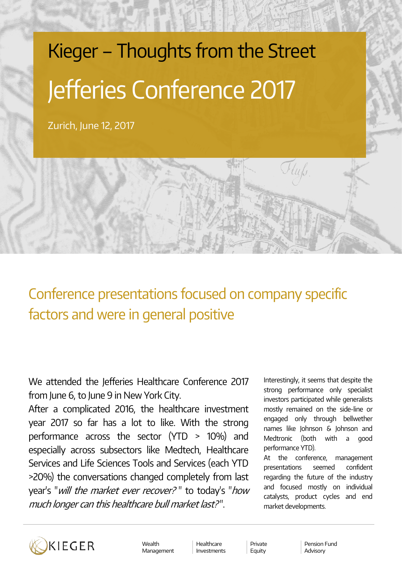# Kieger – Thoughts from the Street Jefferies Conference 2017

Zurich, June 12, 2017

Conference presentations focused on company specific factors and were in general positive

We attended the Jefferies Healthcare Conference 2017 from June 6, to June 9 in New York City.

After a complicated 2016, the healthcare investment year 2017 so far has a lot to like. With the strong performance across the sector (YTD > 10%) and especially across subsectors like Medtech, Healthcare Services and Life Sciences Tools and Services (each YTD >20%) the conversations changed completely from last year's "*will the market ever recover?*" to today's "*how* much longer can this healthcare bull market last? ".

Interestingly, it seems that despite the strong performance only specialist investors participated while generalists mostly remained on the side-line or engaged only through bellwether names like Johnson & Johnson and Medtronic (both with a good performance YTD).

At the conference, management presentations seemed confident regarding the future of the industry and focused mostly on individual catalysts, product cycles and end market developments.



Wealth Management

Healthcare Investments

Private Equity

Pension Fund Advisory